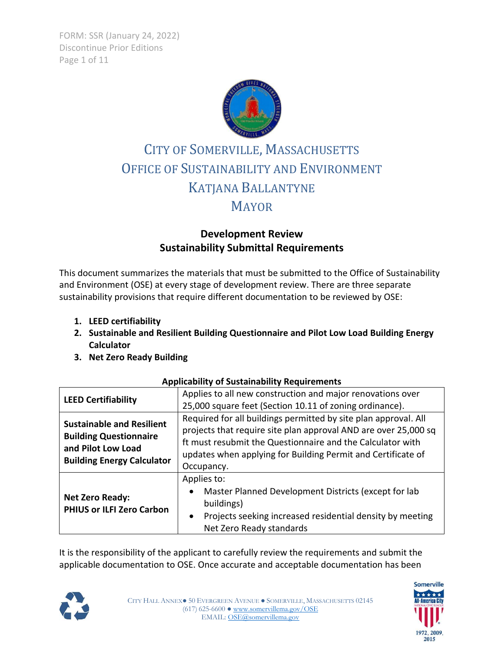FORM: SSR (January 24, 2022) Discontinue Prior Editions Page 1 of 11



# CITY OF SOMERVILLE, MASSACHUSETTS OFFICE OF SUSTAINABILITY AND ENVIRONMENT KATJANA BALLANTYNE **MAYOR**

# **Development Review Sustainability Submittal Requirements**

This document summarizes the materials that must be submitted to the Office of Sustainability and Environment (OSE) at every stage of development review. There are three separate sustainability provisions that require different documentation to be reviewed by OSE:

- **1. LEED certifiability**
- **2. Sustainable and Resilient Building Questionnaire and Pilot Low Load Building Energy Calculator**
- **3. Net Zero Ready Building**

| <b>LEED Certifiability</b>                                                                                                   | Applies to all new construction and major renovations over                                                                                                                                                                                                                     |  |
|------------------------------------------------------------------------------------------------------------------------------|--------------------------------------------------------------------------------------------------------------------------------------------------------------------------------------------------------------------------------------------------------------------------------|--|
|                                                                                                                              | 25,000 square feet (Section 10.11 of zoning ordinance).                                                                                                                                                                                                                        |  |
| <b>Sustainable and Resilient</b><br><b>Building Questionnaire</b><br>and Pilot Low Load<br><b>Building Energy Calculator</b> | Required for all buildings permitted by site plan approval. All<br>projects that require site plan approval AND are over 25,000 sq<br>ft must resubmit the Questionnaire and the Calculator with<br>updates when applying for Building Permit and Certificate of<br>Occupancy. |  |
| <b>Net Zero Ready:</b><br><b>PHIUS or ILFI Zero Carbon</b>                                                                   | Applies to:<br>Master Planned Development Districts (except for lab<br>$\bullet$<br>buildings)<br>Projects seeking increased residential density by meeting<br>$\bullet$<br>Net Zero Ready standards                                                                           |  |

#### **Applicability of Sustainability Requirements**

It is the responsibility of the applicant to carefully review the requirements and submit the applicable documentation to OSE. Once accurate and acceptable documentation has been



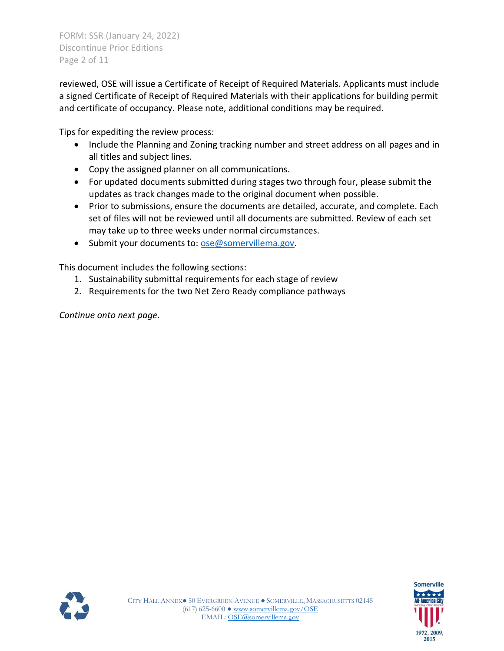FORM: SSR (January 24, 2022) Discontinue Prior Editions Page 2 of 11

reviewed, OSE will issue a Certificate of Receipt of Required Materials. Applicants must include a signed Certificate of Receipt of Required Materials with their applications for building permit and certificate of occupancy. Please note, additional conditions may be required.

Tips for expediting the review process:

- Include the Planning and Zoning tracking number and street address on all pages and in all titles and subject lines.
- Copy the assigned planner on all communications.
- For updated documents submitted during stages two through four, please submit the updates as track changes made to the original document when possible.
- Prior to submissions, ensure the documents are detailed, accurate, and complete. Each set of files will not be reviewed until all documents are submitted. Review of each set may take up to three weeks under normal circumstances.
- Submit your documents to[: ose@somervillema.gov.](mailto:ose@somervillema.gov)

This document includes the following sections:

- 1. Sustainability submittal requirements for each stage of review
- 2. Requirements for the two Net Zero Ready compliance pathways

*Continue onto next page.*



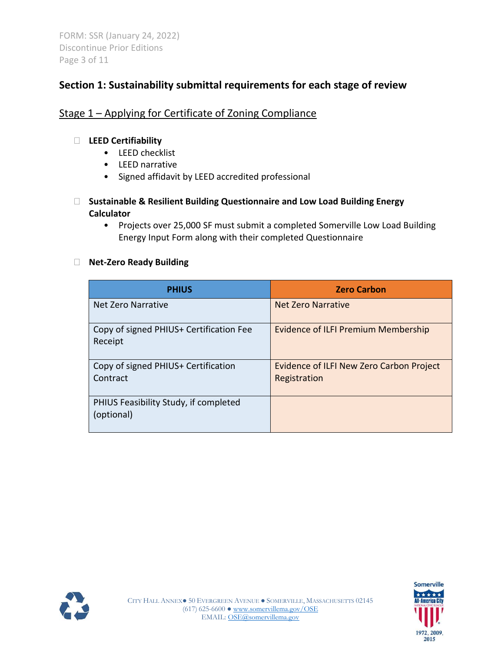FORM: SSR (January 24, 2022) Discontinue Prior Editions Page 3 of 11

# **Section 1: Sustainability submittal requirements for each stage of review**

# Stage 1 – Applying for Certificate of Zoning Compliance

#### **LEED Certifiability**

- LEED checklist
- LEED narrative
- Signed affidavit by LEED accredited professional
- **Sustainable & Resilient Building Questionnaire and Low Load Building Energy Calculator**
	- Projects over 25,000 SF must submit a completed Somerville Low Load Building Energy Input Form along with their completed Questionnaire

#### **Net-Zero Ready Building**

| <b>PHIUS</b>                                        | <b>Zero Carbon</b>                                              |
|-----------------------------------------------------|-----------------------------------------------------------------|
| Net Zero Narrative                                  | <b>Net Zero Narrative</b>                                       |
| Copy of signed PHIUS+ Certification Fee<br>Receipt  | <b>Evidence of ILFI Premium Membership</b>                      |
| Copy of signed PHIUS+ Certification<br>Contract     | <b>Evidence of ILFI New Zero Carbon Project</b><br>Registration |
| PHIUS Feasibility Study, if completed<br>(optional) |                                                                 |



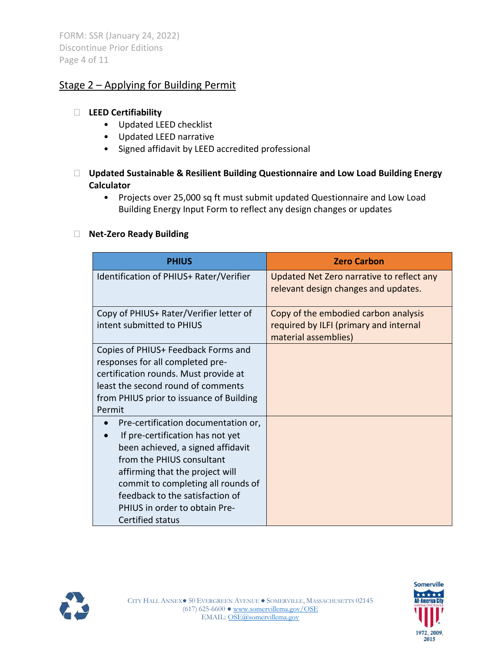FORM: SSR (January 24, 2022) Discontinue Prior Editions Page 4 of 11

# Stage 2 – Applying for Building Permit

#### **LEED Certifiability**

- Updated LEED checklist
- Updated LEED narrative
- Signed affidavit by LEED accredited professional

#### **Updated Sustainable & Resilient Building Questionnaire and Low Load Building Energy Calculator**

• Projects over 25,000 sq ft must submit updated Questionnaire and Low Load Building Energy Input Form to reflect any design changes or updates

| □ Net-Zero Ready Building |  |  |
|---------------------------|--|--|
|---------------------------|--|--|

| <b>PHIUS</b>                             | <b>Zero Carbon</b>                                                                |
|------------------------------------------|-----------------------------------------------------------------------------------|
| Identification of PHIUS+ Rater/Verifier  | Updated Net Zero narrative to reflect any<br>relevant design changes and updates. |
| Copy of PHIUS+ Rater/Verifier letter of  | Copy of the embodied carbon analysis                                              |
| intent submitted to PHIUS                | required by ILFI (primary and internal<br>material assemblies)                    |
| Copies of PHIUS+ Feedback Forms and      |                                                                                   |
| responses for all completed pre-         |                                                                                   |
| certification rounds. Must provide at    |                                                                                   |
| least the second round of comments       |                                                                                   |
| from PHIUS prior to issuance of Building |                                                                                   |
| Permit                                   |                                                                                   |
| Pre-certification documentation or,      |                                                                                   |
| If pre-certification has not yet         |                                                                                   |
| been achieved, a signed affidavit        |                                                                                   |
| from the PHIUS consultant                |                                                                                   |
| affirming that the project will          |                                                                                   |
| commit to completing all rounds of       |                                                                                   |
| feedback to the satisfaction of          |                                                                                   |
| PHIUS in order to obtain Pre-            |                                                                                   |
| Certified status                         |                                                                                   |



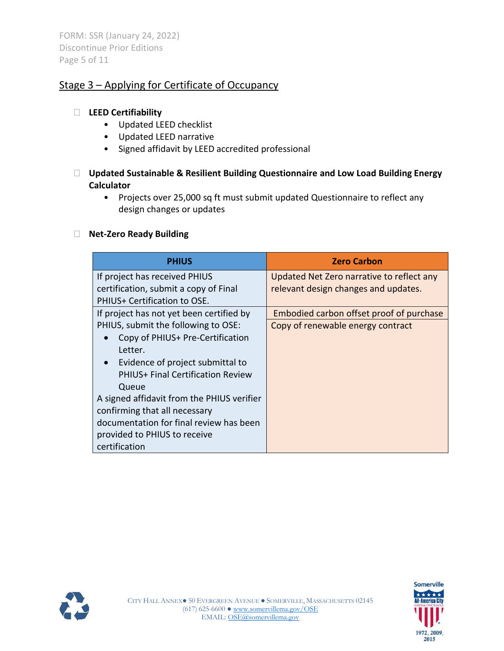FORM: SSR (January 24, 2022) Discontinue Prior Editions Page 5 of 11

# Stage 3 – Applying for Certificate of Occupancy

#### **LEED Certifiability**

- Updated LEED checklist
- Updated LEED narrative
- Signed affidavit by LEED accredited professional
- **Updated Sustainable & Resilient Building Questionnaire and Low Load Building Energy Calculator**
	- Projects over 25,000 sq ft must submit updated Questionnaire to reflect any design changes or updates

#### **Net-Zero Ready Building**

| <b>PHIUS</b>                                  | <b>Zero Carbon</b>                        |
|-----------------------------------------------|-------------------------------------------|
| If project has received PHIUS                 | Updated Net Zero narrative to reflect any |
| certification, submit a copy of Final         | relevant design changes and updates.      |
| PHIUS+ Certification to OSE.                  |                                           |
| If project has not yet been certified by      | Embodied carbon offset proof of purchase  |
| PHIUS, submit the following to OSE:           | Copy of renewable energy contract         |
| Copy of PHIUS+ Pre-Certification              |                                           |
| Letter.                                       |                                           |
| Evidence of project submittal to<br>$\bullet$ |                                           |
| <b>PHIUS+ Final Certification Review</b>      |                                           |
| Queue                                         |                                           |
| A signed affidavit from the PHIUS verifier    |                                           |
| confirming that all necessary                 |                                           |
| documentation for final review has been       |                                           |
| provided to PHIUS to receive                  |                                           |
| certification                                 |                                           |

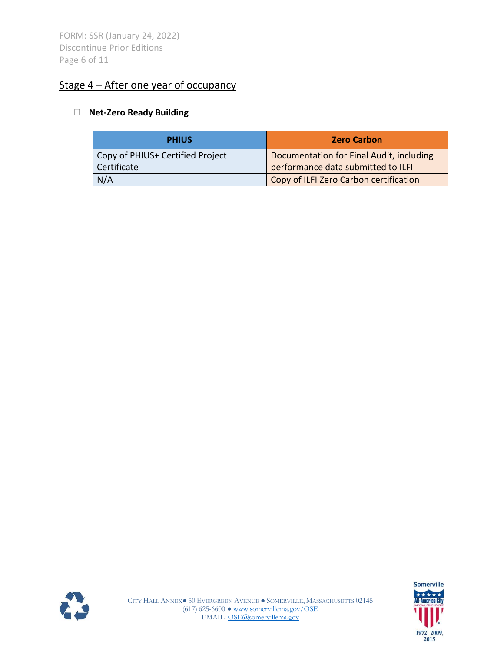FORM: SSR (January 24, 2022) Discontinue Prior Editions Page 6 of 11

# Stage 4 – After one year of occupancy

#### **Net-Zero Ready Building**

| <b>PHIUS</b>                     | <b>Zero Carbon</b>                       |
|----------------------------------|------------------------------------------|
| Copy of PHIUS+ Certified Project | Documentation for Final Audit, including |
| Certificate                      | performance data submitted to ILFI       |
| N/A                              | Copy of ILFI Zero Carbon certification   |



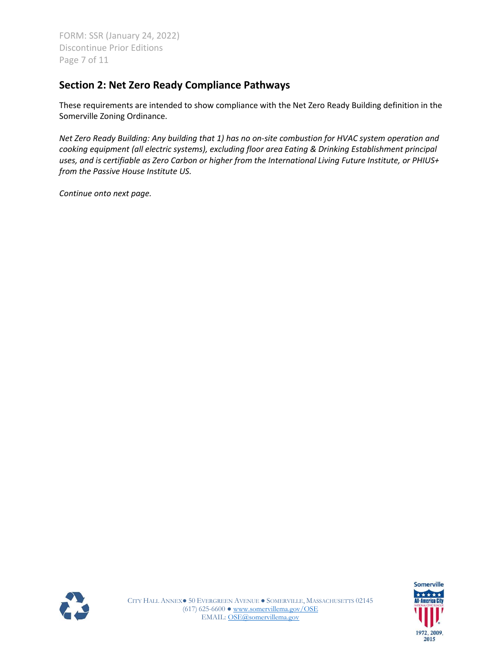# **Section 2: Net Zero Ready Compliance Pathways**

These requirements are intended to show compliance with the Net Zero Ready Building definition in the Somerville Zoning Ordinance.

*Net Zero Ready Building: Any building that 1) has no on-site combustion for HVAC system operation and cooking equipment (all electric systems), excluding floor area Eating & Drinking Establishment principal uses, and is certifiable as Zero Carbon or higher from the International Living Future Institute, or PHIUS+ from the Passive House Institute US.*

*Continue onto next page.*



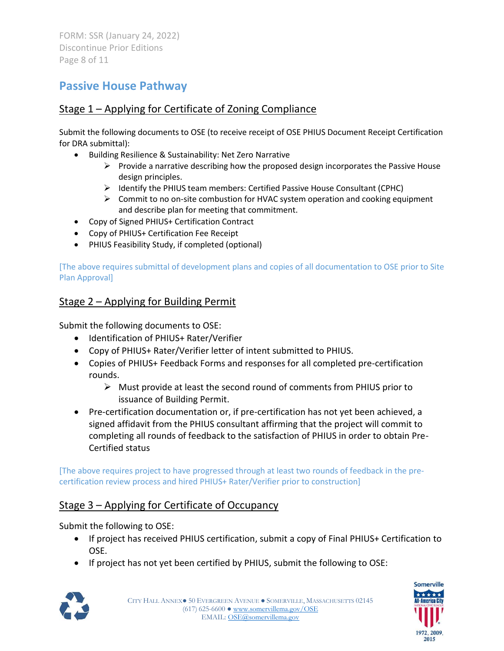FORM: SSR (January 24, 2022) Discontinue Prior Editions Page 8 of 11

# **Passive House Pathway**

# Stage 1 – Applying for Certificate of Zoning Compliance

Submit the following documents to OSE (to receive receipt of OSE PHIUS Document Receipt Certification for DRA submittal):

- Building Resilience & Sustainability: Net Zero Narrative
	- $\triangleright$  Provide a narrative describing how the proposed design incorporates the Passive House design principles.
	- $\triangleright$  Identify the PHIUS team members: Certified Passive House Consultant (CPHC)
	- $\triangleright$  Commit to no on-site combustion for HVAC system operation and cooking equipment and describe plan for meeting that commitment.
- Copy of Signed PHIUS+ Certification Contract
- Copy of PHIUS+ Certification Fee Receipt
- PHIUS Feasibility Study, if completed (optional)

[The above requires submittal of development plans and copies of all documentation to OSE prior to Site Plan Approval]

## Stage 2 – Applying for Building Permit

Submit the following documents to OSE:

- Identification of PHIUS+ Rater/Verifier
- Copy of PHIUS+ Rater/Verifier letter of intent submitted to PHIUS.
- Copies of PHIUS+ Feedback Forms and responses for all completed pre-certification rounds.
	- ➢ Must provide at least the second round of comments from PHIUS prior to issuance of Building Permit.
- Pre-certification documentation or, if pre-certification has not yet been achieved, a signed affidavit from the PHIUS consultant affirming that the project will commit to completing all rounds of feedback to the satisfaction of PHIUS in order to obtain Pre-Certified status

[The above requires project to have progressed through at least two rounds of feedback in the precertification review process and hired PHIUS+ Rater/Verifier prior to construction]

# Stage 3 – Applying for Certificate of Occupancy

Submit the following to OSE:

- If project has received PHIUS certification, submit a copy of Final PHIUS+ Certification to OSE.
- If project has not yet been certified by PHIUS, submit the following to OSE:



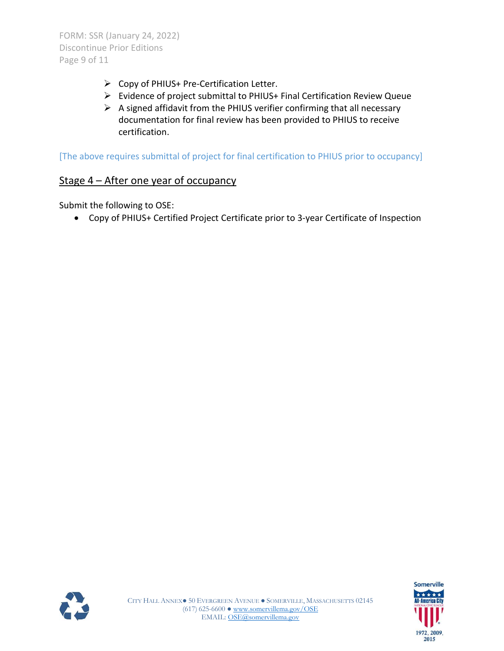FORM: SSR (January 24, 2022) Discontinue Prior Editions Page 9 of 11

- ➢ Copy of PHIUS+ Pre-Certification Letter.
- ➢ Evidence of project submittal to PHIUS+ Final Certification Review Queue
- $\triangleright$  A signed affidavit from the PHIUS verifier confirming that all necessary documentation for final review has been provided to PHIUS to receive certification.

[The above requires submittal of project for final certification to PHIUS prior to occupancy]

#### Stage 4 – After one year of occupancy

Submit the following to OSE:

• Copy of PHIUS+ Certified Project Certificate prior to 3-year Certificate of Inspection



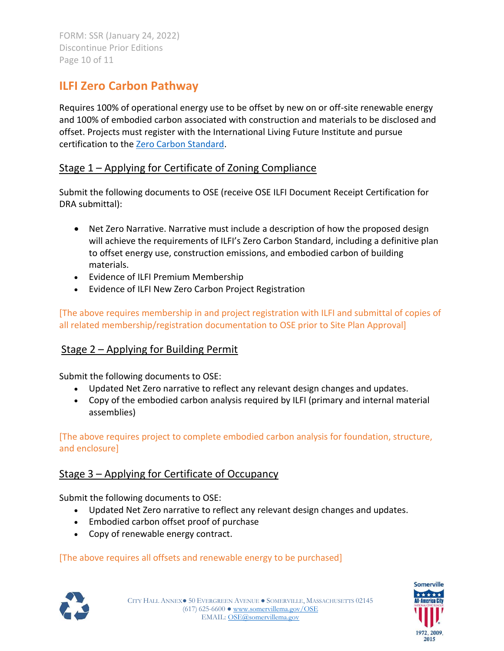FORM: SSR (January 24, 2022) Discontinue Prior Editions Page 10 of 11

# **ILFI Zero Carbon Pathway**

Requires 100% of operational energy use to be offset by new on or off-site renewable energy and 100% of embodied carbon associated with construction and materials to be disclosed and offset. Projects must register with the International Living Future Institute and pursue certification to the [Zero Carbon Standard.](https://living-future.org/zero-carbon-certification/)

## Stage 1 – Applying for Certificate of Zoning Compliance

Submit the following documents to OSE (receive OSE ILFI Document Receipt Certification for DRA submittal):

- Net Zero Narrative. Narrative must include a description of how the proposed design will achieve the requirements of ILFI's Zero Carbon Standard, including a definitive plan to offset energy use, construction emissions, and embodied carbon of building materials.
- Evidence of ILFI Premium Membership
- Evidence of ILFI New Zero Carbon Project Registration

[The above requires membership in and project registration with ILFI and submittal of copies of all related membership/registration documentation to OSE prior to Site Plan Approval]

# Stage 2 – Applying for Building Permit

Submit the following documents to OSE:

- Updated Net Zero narrative to reflect any relevant design changes and updates.
- Copy of the embodied carbon analysis required by ILFI (primary and internal material assemblies)

[The above requires project to complete embodied carbon analysis for foundation, structure, and enclosure]

# Stage 3 – Applying for Certificate of Occupancy

Submit the following documents to OSE:

- Updated Net Zero narrative to reflect any relevant design changes and updates.
- Embodied carbon offset proof of purchase
- Copy of renewable energy contract.

[The above requires all offsets and renewable energy to be purchased]